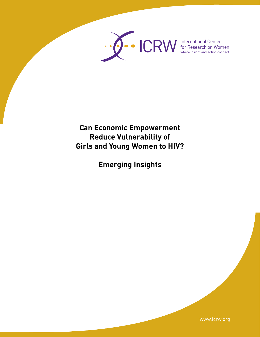

where insight and action connect

**Can Economic Empowerment Reduce Vulnerability of Girls and Young Women to HIV?**

**Emerging Insights** 

www.icrw.org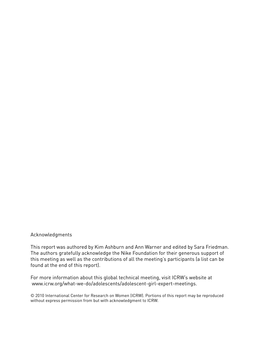## Acknowledgments

This report was authored by Kim Ashburn and Ann Warner and edited by Sara Friedman. The authors gratefully acknowledge the Nike Foundation for their generous support of this meeting as well as the contributions of all the meeting's participants (a list can be found at the end of this report).

For more information about this global technical meeting, visit ICRW's website at www.icrw.org/what-we-do/adolescents/adolescent-girl-expert-meetings.

© 2010 International Center for Research on Women (ICRW). Portions of this report may be reproduced without express permission from but with acknowledgment to ICRW.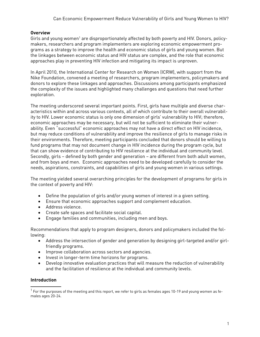## **Overview**

Girls and young women<sup>1</sup> are disproportionately affected by both poverty and HIV. Donors, policymakers, researchers and program implementers are exploring economic empowerment programs as a strategy to improve the health and economic status of girls and young women. But the linkages between economic status and HIV status are complex, and the role that economic approaches play in preventing HIV infection and mitigating its impact is unproven.

In April 2010, the International Center for Research on Women (ICRW), with support from the Nike Foundation, convened a meeting of researchers, program implementers, policymakers and donors to explore these linkages and approaches. Discussions among participants emphasized the complexity of the issues and highlighted many challenges and questions that need further exploration.

The meeting underscored several important points. First, girls have multiple and diverse characteristics within and across various contexts, all of which contribute to their overall vulnerability to HIV. Lower economic status is only one dimension of girls' vulnerability to HIV; therefore, economic approaches may be necessary, but will not be sufficient to eliminate their vulnerability. Even "successful" economic approaches may not have a direct effect on HIV incidence, but may reduce conditions of vulnerability and improve the resilience of girls to manage risks in their environments. Therefore, meeting participants concluded that donors should be willing to fund programs that may not document change in HIV incidence during the program cycle, but that can show evidence of contributing to HIV resilience at the individual and community level. Secondly, girls – defined by both gender and generation – are different from both adult women, and from boys and men. Economic approaches need to be developed carefully to consider the needs, aspirations, constraints, and capabilities of girls and young women in various settings.

The meeting yielded several overarching principles for the development of programs for girls in the context of poverty and HIV:

- Define the population of girls and/or young women of interest in a given setting.
- • Ensure that economic approaches support and complement education.
- • Address violence.
- • Create safe spaces and facilitate social capital.
- • Engage families and communities, including men and boys.

Recommendations that apply to program designers, donors and policymakers included the following:

- Address the intersection of gender and generation by designing girl-targeted and/or girlfriendly programs.
- • Improve collaboration across sectors and agencies.
- • Invest in longer-term time horizons for programs.
- Develop innovative evaluation practices that will measure the reduction of vulnerability and the facilitation of resilience at the individual and community levels.

## **Introduction**

 $^{\rm 1}$  For the purposes of the meeting and this report, we refer to girls as females ages 10-19 and young women as females ages 20-24.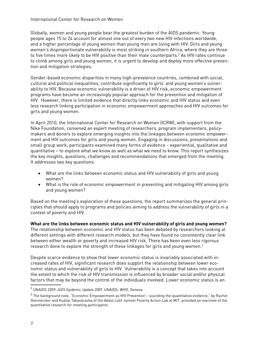Globally, women and young people bear the greatest burden of the AIDS pandemic. Young people ages 15 to 24 account for almost one out of every two new HIV infections worldwide, and a higher percentage of young women than young men are living with HIV. Girls and young women's disproportionate vulnerability is most striking in southern Africa, where they are three to five times more likely to be HIV positive than their male counterparts.<sup>2</sup> As HIV rates continue to climb among girls and young women, it is urgent to develop and deploy more effective prevention and mitigation strategies.

Gender-based economic disparities in many high-prevalence countries, combined with social, cultural and political inequalities, contribute significantly to girls' and young women's vulnerability to HIV. Because economic vulnerability is a driver of HIV risk, economic empowerment programs have become an increasingly popular approach for the prevention and mitigation of HIV. However, there is limited evidence that directly links economic and HIV status and even less research linking participation in economic empowerment approaches and HIV outcomes for girls and young women.

In April 2010, the International Center for Research on Women (ICRW), with support from the Nike Foundation, convened an expert meeting of researchers, program implementers, policymakers and donors to explore emerging insights into the linkages between economic empowerment and HIV outcomes for girls and young women. Engaging in discussions, presentations and small group work, participants examined many forms of evidence – experiential, qualitative and quantitative – to explore what we know as well as what we need to know. This report synthesizes the key insights, questions, challenges and recommendations that emerged from the meeting. It addresses two key questions:

- What are the links between economic status and HIV vulnerability of girls and young women?
- What is the role of economic empowerment in preventing and mitigating HIV among girls and young women?

Based on the meeting's exploration of these questions, the report summarizes the general principles that should apply to programs and policies aiming to address the vulnerability of girls in a context of poverty and HIV.

**What are the links between economic status and HIV vulnerability of girls and young women?** The relationship between economic and HIV status has been debated by researchers looking at different settings with different research models, but they have found no consistently clear link between either wealth or poverty and increased HIV risk. There has been even less rigorous research done to explore the strength of these linkages for girls and young women. $3$ 

Despite scarce evidence to show that lower economic status is invariably associated with increased rates of HIV, significant research does support the relationship between lower economic status and vulnerability of girls to HIV. Vulnerability is a concept that takes into account the extent to which the risk of HIV transmission is influenced by broader social and/or physical factors that may be beyond the control of the individuals involved. Lower economic status is an

<sup>2</sup> UNAIDS 2009, *AIDS Epidemic Update 2009*, UNAIDS; WHO, Geneva.

 $^3$  The background note, "Economic Empowerment as HIV Prevention – sounding the quantitative evidence," by Rachel Glennerster and Kudzai Takavarasha of the Abdul Latif Jameel Poverty Action Lab at MIT, provided an overview of the quantitative research for meeting participants.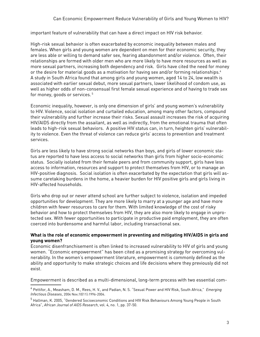important feature of vulnerability that can have a direct impact on HIV risk behavior.

High-risk sexual behavior is often exacerbated by economic inequality between males and females. When girls and young women are dependent on men for their economic security, they are less able or willing to demand safer sex, fearing abandonment and/or violence. Often, their relationships are formed with older men who are more likely to have more resources as well as more sexual partners, increasing both dependency and risk. Girls have cited the need for money or the desire for material goods as a motivation for having sex and/or forming relationships.<sup>4</sup> A study in South Africa found that among girls and young women, aged 14 to 24, low wealth is associated with earlier sexual debut, more sexual partners, lower likelihood of condom use, as well as higher odds of non-consensual first female sexual experience and of having to trade sex for money, goods or services. 5

Economic inequality, however, is only one dimension of girls' and young women's vulnerability to HIV. Violence, social isolation and curtailed education, among many other factors, compound their vulnerability and further increase their risks. Sexual assault increases the risk of acquiring HIV/AIDS directly from the assailant, as well as indirectly, from the emotional trauma that often leads to high-risk sexual behaviors. A positive HIV status can, in turn, heighten girls' vulnerability to violence. Even the threat of violence can reduce girls' access to prevention and treatment services.

Girls are less likely to have strong social networks than boys, and girls of lower economic status are reported to have less access to social networks than girls from higher socio-economic status. Socially isolated from their female peers and from community support, girls have less access to information, resources and support to protect themselves from HIV, or to manage an HIV-positive diagnosis. Social isolation is often exacerbated by the expectation that girls will assume caretaking burdens in the home, a heavier burden for HIV positive girls and girls living in HIV-affected households.

Girls who drop out or never attend school are further subject to violence, isolation and impeded opportunities for development. They are more likely to marry at a younger age and have more children with fewer resources to care for them. With limited knowledge of the cost of risky behavior and how to protect themselves from HIV, they are also more likely to engage in unprotected sex. With fewer opportunities to participate in productive paid employment, they are often coerced into burdensome and harmful labor, including transactional sex.

## **What is the role of economic empowerment in preventing and mitigating HIV/AIDS in girls and young women?**

Economic disenfranchisement is often linked to increased vulnerability to HIV of girls and young women. "Economic empowerment" has been cited as a promising strategy for overcoming vulnerability. In the women's empowerment literature, empowerment is commonly defined as the ability and opportunity to make strategic choices and life decisions where they previously did not exist.

Empowerment is described as a multi-dimensional, long-term process with two essential com-

<sup>4</sup> Pettifor, A., Measham, D. M., Rees, H. V., and Padian, N. S. "Sexual Power and HIV Risk, South Africa," *Emerging Infectious Diseases*, 2004 Nov;10(11):1996-2004.

 $^5$  Hallman, K. 2005, "Gendered Socioeconomic Conditions and HIV Risk Behaviours Among Young People in South  $\,$ Africa", *African Journal of AIDS Research*, vol. 4, no. 1, pp. 37-50.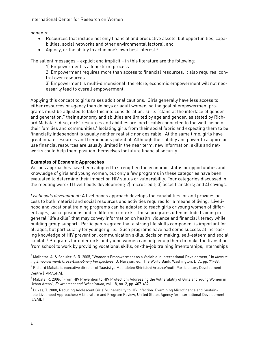#### International Center for Research on Women

ponents:

- Resources that include not only financial and productive assets, but opportunities, capabilities, social networks and other environmental factors); and
- Agency, or the ability to act in one's own best interest.<sup>6</sup>

The salient messages – explicit and implicit – in this literature are the following:

1) Empowerment is a long-term process.

2) Empowerment requires more than access to financial resources; it also requires control over resources.

3) Empowerment is multi-dimensional; therefore, economic empowerment will not necessarily lead to overall empowerment.

Applying this concept to girls raises additional cautions. Girls generally have less access to either resources or agency than do boys or adult women, so the goal of empowerment programs must be adjusted to take this into consideration. Girls "stand at the interface of gender and generation," their autonomy and abilities are limited by age and gender, as stated by Richard Mabala.7 Also, girls' resources and abilities are inextricably connected to the well-being of their families and communities. $^8$  Isolating girls from their social fabric and expecting them to be financially independent is usually neither realistic nor desirable. At the same time, girls have great innate resources and tremendous potential. Although their ability and power to acquire or use financial resources are usually limited in the near term, new information, skills and networks could help them position themselves for future financial security.

## **Examples of Economic Approaches**

Various approaches have been adopted to strengthen the economic status or opportunities and knowledge of girls and young women, but only a few programs in these categories have been evaluated to determine their impact on HIV status or vulnerability. Four categories discussed in the meeting were: 1) livelihoods development; 2) microcredit; 3) asset transfers; and 4) savings.

*Livelihoods development*: A livelihoods approach develops the capabilities for and provides access to both material and social resources and activities required for a means of living. Livelihood and vocational training programs can be adapted to reach girls or young women of different ages, social positions and in different contexts. These programs often include training in general "life skills" that may convey information on health, violence and financial literacy while building group support. Participants agreed that a strong life skills component is important for all ages, but particularly for younger girls. Such programs have had some success at increasing knowledge of HIV prevention, communication skills, decision making, self-esteem and social capital. <sup>9</sup> Programs for older girls and young women can help equip them to make the transition from school to work by providing vocational skills, on-the-job training (mentorships, internships

<sup>6</sup> Malhotra, A. & Schuler, S. R. 2005, "Women's Empowerment as a Variable in International Development," in *Measuring Empowerment: Cross-Disciplinary Perspectives*, D. Narayan, ed., The World Bank, Washington, D.C., pp. 71-88.

 $^7$  Richard Mabala is executive director of Taasisi ya Maendeleo Shirikishi Arusha/Youth Participatory Development Centre (TAMASHA).

<sup>8</sup> Mabala, R. 2006, "From HIV Prevention to HIV Protection: Addressing the Vulnerability of Girls and Young Women in Urban Areas", *Environment and Urbanization*, vol. 18, no. 2, pp. 407-432.

 $^9$  Lukas, T. 2008, Reducing Adolescent Girls' Vulnerability to HIV Infection: Examining Microfinance and Sustainable Livelihood Approaches: A Literature and Program Review, United States Agency for International Development (USAID).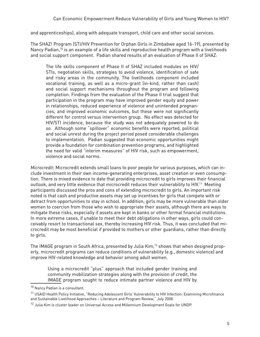and apprenticeships), along with adequate transport, child care and other social services.

The SHAZ! Program (STI/HIV Prevention for Orphan Girls in Zimbabwe aged 16-19), presented by Nancy Padian,<sup>10</sup> is an example of a life skills and reproductive health program with a livelihoods and social support component. Padian shared results of an evaluation of Phase II of SHAZ:

The life skills component of Phase II of SHAZ included modules on HIV/ STIs, negotiation skills, strategies to avoid violence, identification of safe and risky areas in the community. The livelihoods component included vocational training, as well as a micro-grant (in-kind, rather than cash) and social support mechanisms throughout the program and following completion. Findings from the evaluation of the Phase II trial suggest that participation in the program may have improved gender equity and power in relationships, reduced experience of violence and unintended pregnancies, and improved economic outcomes, but these were not significantly different for control versus intervention group. No effect was detected for HIV/STI incidence, because the study was not adequately powered to do so. Although some "spillover" economic benefits were reported, political and social unrest during the project period posed considerable challenges to implementation. Padian suggested that economic opportunities might provide a foundation for combination prevention programs, and highlighted the need for valid "interim measures" of HIV risk, such as empowerment, violence and social norms.

*Microcredit*: Microcredit extends small loans to poor people for various purposes, which can include investment in their own income-generating enterprises, asset creation or even consumption. There is mixed evidence to date that providing microcredit to girls improves their financial outlook, and very little evidence that microcredit reduces their vulnerability to HIV.<sup>11</sup> Meeting participants discussed the pros and cons of extending microcredit to girls. An important risk noted is that cash and productive assets may set up incentives for girls that compete with or detract from opportunities to stay in school. In addition, girls may be more vulnerable than older women to coercion from those who wish to appropriate their assets, although there are ways to mitigate these risks, especially if assets are kept in banks or other formal financial institutions. In more extreme cases, if unable to meet their debt obligations in other ways, girls could conceivably resort to transactional sex, thereby increasing HIV risk. Thus, it was concluded that microcredit may be most beneficial if provided to mothers or other guardians, rather than directly to girls.

The IMAGE program in South Africa, presented by Julia Kim,<sup>12</sup> shows that when designed properly, microcredit programs can reduce conditions of vulnerability (e.g., domestic violence) and improve HIV-related knowledge and behavior among adult women.

Using a microcredit "plus" approach that included gender training and community mobilization strategies along with the provision of credit, the IMAGE program sought to reduce intimate partner violence and HIV by

<sup>10</sup> Nancy Padian is a consultant.

<sup>&</sup>lt;sup>11</sup> USAID Health Policy Initiative, "Reducing Adolescent Girls' Vulnerability to HIV Infection: Examining Microfinance and Sustainable Livelihood Approaches – Literature and Program Review," July 2008.

 $12$  Julia Kim is cluster leader on Universal Access and Millennium Development Goals for UNDP.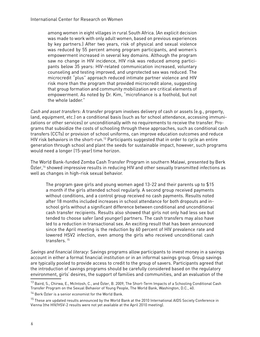among women in eight villages in rural South Africa. (An explicit decision was made to work with only adult women, based on previous experiences by key partners.) After two years, risk of physical and sexual violence was reduced by 55 percent among program participants, and women's empowerment increased in several key domains. Although the program saw no change in HIV incidence, HIV risk was reduced among participants below 35 years: HIV-related communication increased, voluntary counseling and testing improved, and unprotected sex was reduced. The microcredit "plus" approach reduced intimate partner violence and HIV risk more than the program that provided microcredit alone, suggesting that group formation and community mobilization are critical elements of empowerment. As noted by Dr. Kim, "microfinance is a foothold, but not the whole ladder."

*Cash and asset transfers*: A transfer program involves delivery of cash or assets (e.g., property, land, equipment, etc.) on a conditional basis (such as for school attendance, accessing immunizations or other services) or unconditionally with no requirements to receive the transfer. Programs that subsidize the costs of schooling through these approaches, such as conditional cash transfers (CCTs) or provision of school uniforms, can improve education outcomes and reduce HIV risk behaviors in the short-run.<sup>13</sup> Participants suggested that in order to cycle an entire generation through school and plant the seeds for sustainable impact, however, such programs would need a longer (15-year) time horizon.

The World Bank-funded Zomba Cash Transfer Program in southern Malawi, presented by Berk  $\rm \ddot{o}$ zler,<sup>14</sup> showed impressive results in reducing HIV and other sexually transmitted infections as well as changes in high-risk sexual behavior.

The program gave girls and young women aged 13-22 and their parents up to \$15 a month if the girls attended school regularly. A second group received payments without conditions, and a control group received no cash payments. Results noted after 18 months included increases in school attendance for both dropouts and inschool girls without a significant difference between conditional and unconditional cash transfer recipients. Results also showed that girls not only had less sex but tended to choose safer (and younger) partners. The cash transfers may also have led to a reduction in transactional sex. An exciting result that has been announced since the April meeting is the reduction by 60 percent of HIV prevalence rate and lowered HSV2 infection, even among the girls who received unconditional cash transfers. 15

*Savings and financial literacy*: Savings programs allow participants to invest money in a savings account in either a formal financial institution or in an informal savings group. Group savings are typically pooled to provide access to credit to the group of savers. Participants agreed that the introduction of savings programs should be carefully considered based on the regulatory environment, girls' desires, the support of families and communities, and an evaluation of the

<sup>&</sup>lt;sup>13</sup> Baird, S., Chirwa, E., McIntosh, C., and Özler, B. 2009, The Short-Term Impacts of a Schooling Conditional Cash Transfer Program on the Sexual Behavior of Young People, The World Bank, Washington, D.C., 40.

<sup>&</sup>lt;sup>14</sup> Berk Özler is a senior economist for the World Bank.

 $^{\rm 15}$  These are updated results announced by the World Bank at the 2010 International AIDS Society Conference in Vienna (the HIV/HSV-2 results were not yet available at the April 2010 meeting).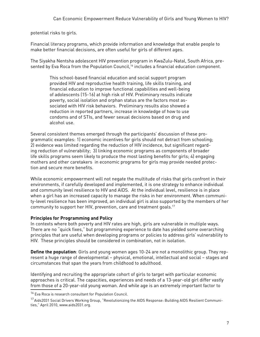potential risks to girls.

Financial literacy programs, which provide information and knowledge that enable people to make better financial decisions, are often useful for girls of different ages.

The Siyakha Nentsha adolescent HIV prevention program in KwaZulu-Natal, South Africa, presented by Eva Roca from the Population Council,<sup>16</sup> includes a financial education component.

This school-based financial education and social support program provided HIV and reproductive health training, life skills training, and financial education to improve functional capabilities and well-being of adolescents (15-16) at high risk of HIV. Preliminary results indicate poverty, social isolation and orphan status are the factors most associated with HIV risk behaviors. Preliminary results also showed a reduction in reported partners, increase in knowledge of how to use condoms and of STIs, and fewer sexual decisions based on drug and alcohol use.

Several consistent themes emerged through the participants' discussion of these programmatic examples: 1) economic incentives for girls should not detract from schooling; 2) evidence was limited regarding the reduction of HIV incidence, but significant regarding reduction of vulnerability; 3) linking economic programs as components of broader life skills programs seem likely to produce the most lasting benefits for girls; 4) engaging mothers and other caretakers in economic programs for girls may provide needed protection and secure more benefits.

While economic empowerment will not negate the multitude of risks that girls confront in their environments, if carefully developed and implemented, it is one strategy to enhance individual and community level resilience to HIV and AIDS. At the individual level, resilience is in place when a girl has an increased capacity to manage the risks in her environment. When community-level resilience has been improved, an individual girl is also supported by the members of her community to support her HIV, prevention, care and treatment goals.17

## **Principles for Programming and Policy**

In contexts where both poverty and HIV rates are high, girls are vulnerable in multiple ways. There are no "quick fixes," but programming experience to date has yielded some overarching principles that are useful when developing programs or policies to address girls' vulnerability to HIV. These principles should be considered in combination, not in isolation.

**Define the population**: Girls and young women ages 10-24 are not a monolithic group. They represent a huge range of developmental – physical, emotional, intellectual and social – stages and circumstances that span the years from childhood to adulthood.

Identifying and recruiting the appropriate cohort of girls to target with particular economic approaches is critical. The capacities, experiences and needs of a 13-year-old girl differ vastly from those of a 20-year-old young woman. And while age is an extremely important factor to

<sup>&</sup>lt;sup>16</sup> Eva Roca is research consultant for Population Council.

<sup>&</sup>lt;sup>17</sup> Aids2031 Social Drivers Working Group, "Revolutionizing the AIDS Response: Building AIDS Resilient Communities," April 2010, www.aids2031.org.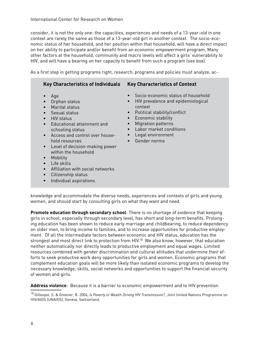consider, it is not the only one: the capacities, experiences and needs of a 13-year-old in one context are rarely the same as those of a 13-year-old girl in another context. The socio-economic status of her household, and her position within that household, will have a direct impact on her ability to participate and/or benefit from an economic empowerment program. Many other factors at the household, community and macro levels will affect a girls' vulnerability to HIV, and will have a bearing on her capacity to benefit from such a program (see box).

As a first step in getting programs right, research, programs and policies must analyze, ac-

| <b>Key Characteristics of Individuals</b> | <b>Key Characteristics of Context</b> |
|-------------------------------------------|---------------------------------------|
| Age                                       | Socio-economic status of household    |
| Orphan status                             | HIV prevalence and epidemiological    |
| <b>Marital status</b>                     | $\bullet$                             |
| Sexual status                             | context                               |
| HIV status                                | Political stability/conflict          |
| Educational attainment and                | $\bullet$                             |
| $\bullet$                                 | Economic stability                    |
| schooling status                          | $\bullet$                             |
| Access and control over house-            | <b>Migration patterns</b>             |
| $\bullet$                                 | $\bullet$                             |
| hold resources                            | Labor market conditions               |
| Level of decision-making power            | $\bullet$                             |
| $\bullet$                                 | Legal environment                     |
| within the household                      | $\bullet$                             |
| Mobility                                  | Gender norms                          |
| Life skills                               | $\bullet$                             |

- Affiliation with social networks
- Citizenship status
- **Individual aspirations**

knowledge and accommodate the diverse needs, experiences and contexts of girls and young women, and should start by consulting girls on what they want and need.

**Promote education through secondary school**: There is no shortage of evidence that keeping girls in school, especially through secondary level, has short and long-term benefits. Prolonging education has been shown to reduce early marriage and childbearing, to reduce dependency on older men, to bring income to families, and to increase opportunities for productive employment. Of all the intermediate factors between economic and HIV status, education has the strongest and most direct link to protection from HIV.18 We also know, however, that education neither automatically nor directly leads to productive employment and equal wages. Limited resources combined with gender discrimination and cultural attitudes that undermine their efforts to seek productive work deny opportunities for girls and women. Economic programs that complement education goals will be more likely than isolated economic programs to develop the necessary knowledge, skills, social networks and opportunities to support the financial security of women and girls.

**Address violence**: Because it is a barrier to economic empowerment and to HIV prevention

<sup>18</sup> Gillespie, S. & Greener, R. 2006, *Is Poverty or Wealth Driving HIV Transmission?*, Joint United Nations Programme on HIV/AIDS (UNAIDS), Geneva, Switzerland.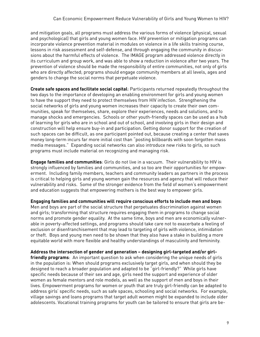and mitigation goals, all programs must address the various forms of violence (physical, sexual and psychological) that girls and young women face. HIV prevention or mitigation programs can incorporate violence prevention material in modules on violence in a life skills training course, lessons in risk assessment and self-defense, and through engaging the community in discussions about the harmful effects of violence. The IMAGE program addressed violence directly in its curriculum and group work, and was able to show a reduction in violence after two years. The prevention of violence should be made the responsibility of entire communities, not only of girls who are directly affected; programs should engage community members at all levels, ages and genders to change the social norms that perpetuate violence.

**Create safe spaces and facilitate social capital**: Participants returned repeatedly throughout the two days to the importance of developing an enabling environment for girls and young women to have the support they need to protect themselves from HIV infection. Strengthening the social networks of girls and young women increases their capacity to create their own communities, speak for themselves, share, explore their experiences, needs and solutions, and to manage shocks and emergencies. Schools or other youth-friendly spaces can be used as a hub of learning for girls who are in school and out of school, and involving girls in their design and construction will help ensure buy-in and participation. Getting donor support for the creation of such spaces can be difficult, as one participant pointed out, because creating a center that saves money long-term incurs far more initial cost than "posting billboards with soon forgotten mass media messages." Expanding social networks can also introduce new risks to girls, so such programs must include material on recognizing and managing risk.

**Engage families and communities**: Girls do not live in a vacuum. Their vulnerability to HIV is strongly influenced by families and communities, and so too are their opportunities for empowerment. Including family members, teachers and community leaders as partners in the process is critical to helping girls and young women gain the resources and agency that will reduce their vulnerability and risks. Some of the stronger evidence from the field of women's empowerment and education suggests that empowering mothers is the best way to empower girls.

**Engaging families and communities will require conscious efforts to include men and boys**: Men and boys are part of the social structure that perpetuates discrimination against women

and girls; transforming that structure requires engaging them in programs to change social norms and promote gender equality. At the same time, boys and men are economically vulnerable in poverty-affected settings, and programs should take care not to exacerbate a feeling of exclusion or disenfranchisement that may lead to targeting of girls with violence, intimidation or theft. Boys and young men need to be shown that they also have a stake in building a more equitable world with more flexible and healthy understandings of masculinity and femininity.

**Address the intersection of gender and generation – designing girl-targeted and/or girlfriendly programs**: An important question to ask when considering the unique needs of girls in the population is: When should programs exclusively target girls, and when should they be designed to reach a broader population and adapted to be "girl-friendly?" While girls have specific needs because of their sex and age, girls need the support and experience of older women as female mentors and role models, as well as the support of men and boys in their lives. Empowerment programs for women or youth that are truly girl-friendly can be adapted to address girls' specific needs, such as safe spaces, schooling and social networks. For example, village savings and loans programs that target adult women might be expanded to include older adolescents. Vocational training programs for youth can be tailored to ensure that girls are be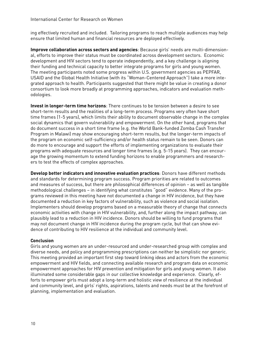ing effectively recruited and included. Tailoring programs to reach multiple audiences may help ensure that limited human and financial resources are deployed effectively.

**Improve collaboration across sectors and agencies**: Because girls' needs are multi-dimensional, efforts to improve their status must be coordinated across development sectors. Economic development and HIV sectors tend to operate independently, and a key challenge is aligning their funding and technical capacity to better integrate programs for girls and young women. The meeting participants noted some progress within U.S. government agencies as PEPFAR, USAID and the Global Health Initiative (with its "Woman-Centered Approach") take a more integrated approach to health. Participants suggested that there might be value in creating a donor consortium to look more broadly at programming approaches, indicators and evaluation methodologies.

**Invest in longer-term time horizons**: There continues to be tension between a desire to see short-term results and the realities of a long-term process. Programs very often have short time frames (1-5 years), which limits their ability to document observable change in the complex social dynamics that govern vulnerability and empowerment. On the other hand, programs that do document success in a short time frame (e.g. the World Bank-funded Zomba Cash Transfer Program in Malawi) may show encouraging short-term results, but the longer-term impacts of the program on economic self-sufficiency and/or health status remain to be seen. Donors can do more to encourage and support the efforts of implementing organizations to evaluate their programs with adequate resources and longer time frames (e.g. 5-15 years). They can encourage the growing momentum to extend funding horizons to enable programmers and researchers to test the effects of complex approaches.

**Develop better indicators and innovative evaluation practices**: Donors have different methods and standards for determining program success. Program priorities are related to outcomes and measures of success, but there are philosophical differences of opinion – as well as tangible methodological challenges – in identifying what constitutes "good" evidence. Many of the programs reviewed in this meeting have not documented a change in HIV incidence, but they have documented a reduction in key factors of vulnerability, such as violence and social isolation. Implementers should develop programs based on a measurable theory of change that connects economic activities with change in HIV vulnerability, and, further along the impact pathway, can plausibly lead to a reduction in HIV incidence. Donors should be willing to fund programs that may not document change in HIV incidence during the program cycle, but that can show evidence of contributing to HIV resilience at the individual and community level.

## **Conclusion**

Girls and young women are an under-resourced and under-researched group with complex and diverse needs, and policy and programming prescriptions can neither be simplistic nor generic. This meeting provided an important first step toward linking ideas and actors from the economic empowerment and HIV fields, and connecting available research and program data on economic empowerment approaches for HIV prevention and mitigation for girls and young women. It also illuminated some considerable gaps in our collective knowledge and experience. Clearly, efforts to empower girls must adopt a long-term and holistic view of resilience at the individual and community level, and girls' rights, aspirations, talents and needs must be at the forefront of planning, implementation and evaluation.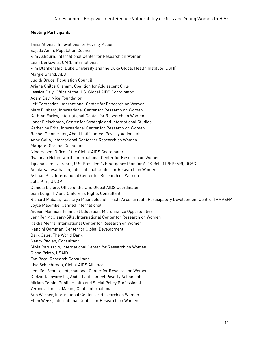## **Meeting Participants**

Tania Alfonso, Innovations for Poverty Action Sajeda Amin, Population Council Kim Ashburn, International Center for Research on Women Leah Berkowitz, CARE International Kim Blankenship, Duke University and the Duke Global Health Institute (DGHI) Margie Brand, AED Judith Bruce, Population Council Ariana Childs Graham, Coalition for Adolescent Girls Jessica Daly, Office of the U.S. Global AIDS Coordinator Adam Day, Nike Foundation Jeff Edmeades, International Center for Research on Women Mary Ellsberg, International Center for Research on Women Kathryn Farley, International Center for Research on Women Janet Fleischman, Center for Strategic and International Studies Katherine Fritz, International Center for Research on Women Rachel Glennerster, Abdul Latif Jameel Poverty Action Lab Anne Golla, International Center for Research on Women Margaret Greene, Consultant Nina Hasen, Office of the Global AIDS Coordinator Gwennan Hollingworth, International Center for Research on Women Tijuana James-Traore, U.S. President's Emergency Plan for AIDS Relief (PEPFAR), OGAC Anjala Kanesathasan, International Center for Research on Women Aslihan Kes, International Center for Research on Women Julia Kim, UNDP Daniela Ligiero, Office of the U.S. Global AIDS Coordinator Siân Long, HIV and Children's Rights Consultant Richard Mabala, Taasisi ya Maendeleo Shirikishi Arusha/Youth Participatory Development Centre (TAMASHA) Joyce Malombe, Camfed International Aideen Mannion, Financial Education, Microfinance Opportunities Jennifer McCleary-Sills, International Center for Research on Women Rekha Mehra, International Center for Research on Women Nandini Oomman, Center for Global Development Berk Özler, The World Bank Nancy Padian, Consultant Silvia Paruzzolo, International Center for Research on Women Diana Prieto, USAID Eva Roca, Research Consultant Lisa Schechtman, Global AIDS Alliance Jennifer Schulte, International Center for Research on Women Kudzai Takavarasha, Abdul Latif Jameel Poverty Action Lab Miriam Temin, Public Health and Social Policy Professional Veronica Torres, Making Cents International Ann Warner, International Center for Research on Women Ellen Weiss, International Center for Research on Women